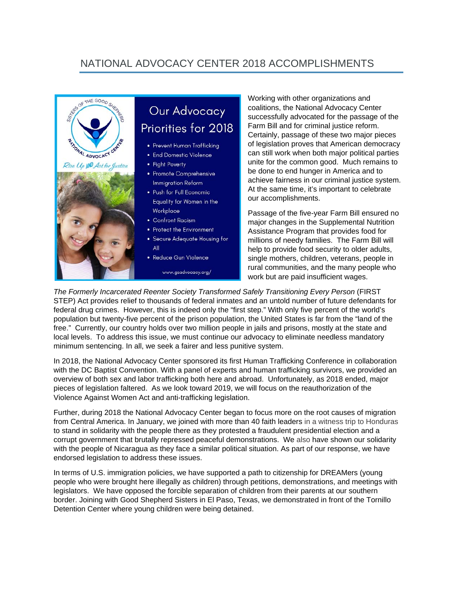## NATIONAL ADVOCACY CENTER 2018 ACCOMPLISHMENTS



## Our Advocacy Priorities for 2018

- Prevent Human Trafficking
- · End Domestic Violence
- Fight Poverty
- · Promote Comprehensive **Immigration Reform**
- · Push for Full Economic Equality for Women in the Workplace
- Confront Racism
- Protect the Environment
- · Secure Adequate Housing for All
- · Reduce Gun Violence

www.gsadvocacy.org/

Working with other organizations and coalitions, the National Advocacy Center successfully advocated for the passage of the Farm Bill and for criminal justice reform. Certainly, passage of these two major pieces of legislation proves that American democracy can still work when both major political parties unite for the common good. Much remains to be done to end hunger in America and to achieve fairness in our criminal justice system. At the same time, it's important to celebrate our accomplishments.

Passage of the five-year Farm Bill ensured no major changes in the Supplemental Nutrition Assistance Program that provides food for millions of needy families. The Farm Bill will help to provide food security to older adults, single mothers, children, veterans, people in rural communities, and the many people who work but are paid insufficient wages.

*The Formerly Incarcerated Reenter Society Transformed Safely Transitioning Every Person* (FIRST STEP) Act provides relief to thousands of federal inmates and an untold number of future defendants for federal drug crimes. However, this is indeed only the "first step." With only five percent of the world's population but twenty-five percent of the prison population, the United States is far from the "land of the free." Currently, our country holds over two million people in jails and prisons, mostly at the state and local levels. To address this issue, we must continue our advocacy to eliminate needless mandatory minimum sentencing. In all, we seek a fairer and less punitive system.

In 2018, the National Advocacy Center sponsored its first Human Trafficking Conference in collaboration with the DC Baptist Convention. With a panel of experts and human trafficking survivors, we provided an overview of both sex and labor trafficking both here and abroad. Unfortunately, as 2018 ended, major pieces of legislation faltered. As we look toward 2019, we will focus on the reauthorization of the Violence Against Women Act and anti-trafficking legislation.

Further, during 2018 the National Advocacy Center began to focus more on the root causes of migration from Central America. In January, we joined with more than 40 faith leaders in a witness trip to Honduras to stand in solidarity with the people there as they protested a fraudulent presidential election and a corrupt government that brutally repressed peaceful demonstrations. We also have shown our solidarity with the people of Nicaragua as they face a similar political situation. As part of our response, we have endorsed legislation to address these issues.

In terms of U.S. immigration policies, we have supported a path to citizenship for DREAMers (young people who were brought here illegally as children) through petitions, demonstrations, and meetings with legislators. We have opposed the forcible separation of children from their parents at our southern border. Joining with Good Shepherd Sisters in El Paso, Texas, we demonstrated in front of the Tornillo Detention Center where young children were being detained.